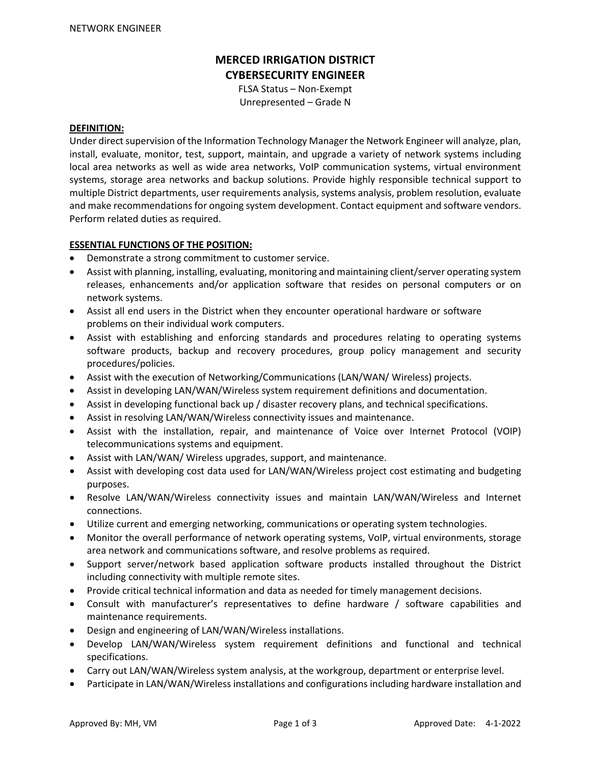# **MERCED IRRIGATION DISTRICT CYBERSECURITY ENGINEER**

FLSA Status – Non-Exempt Unrepresented – Grade N

#### **DEFINITION:**

Under direct supervision of the Information Technology Manager the Network Engineer will analyze, plan, install, evaluate, monitor, test, support, maintain, and upgrade a variety of network systems including local area networks as well as wide area networks, VoIP communication systems, virtual environment systems, storage area networks and backup solutions. Provide highly responsible technical support to multiple District departments, user requirements analysis, systems analysis, problem resolution, evaluate and make recommendations for ongoing system development. Contact equipment and software vendors. Perform related duties as required.

#### **ESSENTIAL FUNCTIONS OF THE POSITION:**

- Demonstrate a strong commitment to customer service.
- Assist with planning, installing, evaluating, monitoring and maintaining client/server operating system releases, enhancements and/or application software that resides on personal computers or on network systems.
- Assist all end users in the District when they encounter operational hardware or software problems on their individual work computers.
- Assist with establishing and enforcing standards and procedures relating to operating systems software products, backup and recovery procedures, group policy management and security procedures/policies.
- Assist with the execution of Networking/Communications (LAN/WAN/ Wireless) projects.
- Assist in developing LAN/WAN/Wireless system requirement definitions and documentation.
- Assist in developing functional back up / disaster recovery plans, and technical specifications.
- Assist in resolving LAN/WAN/Wireless connectivity issues and maintenance.
- Assist with the installation, repair, and maintenance of Voice over Internet Protocol (VOIP) telecommunications systems and equipment.
- Assist with LAN/WAN/ Wireless upgrades, support, and maintenance.
- Assist with developing cost data used for LAN/WAN/Wireless project cost estimating and budgeting purposes.
- Resolve LAN/WAN/Wireless connectivity issues and maintain LAN/WAN/Wireless and Internet connections.
- Utilize current and emerging networking, communications or operating system technologies.
- Monitor the overall performance of network operating systems, VoIP, virtual environments, storage area network and communications software, and resolve problems as required.
- Support server/network based application software products installed throughout the District including connectivity with multiple remote sites.
- Provide critical technical information and data as needed for timely management decisions.
- Consult with manufacturer's representatives to define hardware / software capabilities and maintenance requirements.
- Design and engineering of LAN/WAN/Wireless installations.
- Develop LAN/WAN/Wireless system requirement definitions and functional and technical specifications.
- Carry out LAN/WAN/Wireless system analysis, at the workgroup, department or enterprise level.
- Participate in LAN/WAN/Wireless installations and configurations including hardware installation and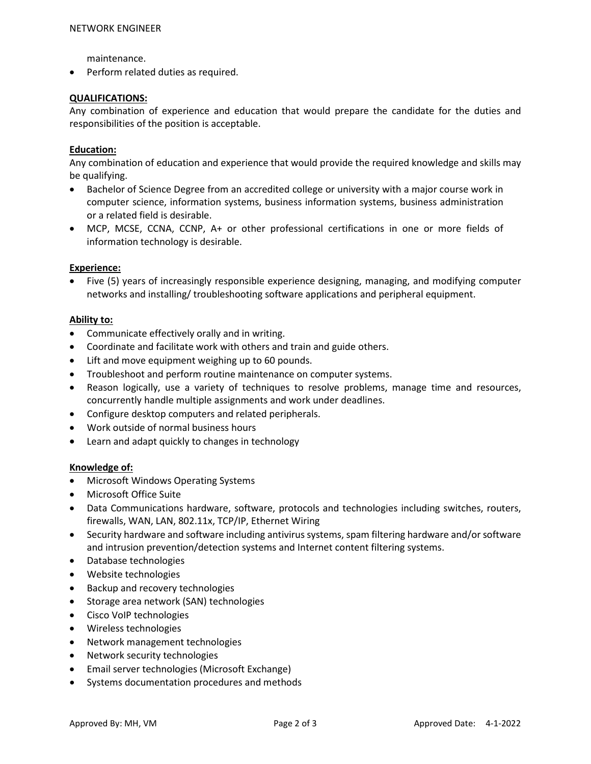maintenance.

• Perform related duties as required.

## **QUALIFICATIONS:**

Any combination of experience and education that would prepare the candidate for the duties and responsibilities of the position is acceptable.

#### **Education:**

Any combination of education and experience that would provide the required knowledge and skills may be qualifying.

- Bachelor of Science Degree from an accredited college or university with a major course work in computer science, information systems, business information systems, business administration or a related field is desirable.
- MCP, MCSE, CCNA, CCNP, A+ or other professional certifications in one or more fields of information technology is desirable.

#### **Experience:**

• Five (5) years of increasingly responsible experience designing, managing, and modifying computer networks and installing/ troubleshooting software applications and peripheral equipment.

#### **Ability to:**

- Communicate effectively orally and in writing.
- Coordinate and facilitate work with others and train and guide others.
- Lift and move equipment weighing up to 60 pounds.
- Troubleshoot and perform routine maintenance on computer systems.
- Reason logically, use a variety of techniques to resolve problems, manage time and resources, concurrently handle multiple assignments and work under deadlines.
- Configure desktop computers and related peripherals.
- Work outside of normal business hours
- Learn and adapt quickly to changes in technology

#### **Knowledge of:**

- Microsoft Windows Operating Systems
- Microsoft Office Suite
- Data Communications hardware, software, protocols and technologies including switches, routers, firewalls, WAN, LAN, 802.11x, TCP/IP, Ethernet Wiring
- Security hardware and software including antivirus systems, spam filtering hardware and/or software and intrusion prevention/detection systems and Internet content filtering systems.
- Database technologies
- Website technologies
- Backup and recovery technologies
- Storage area network (SAN) technologies
- Cisco VoIP technologies
- Wireless technologies
- Network management technologies
- Network security technologies
- Email server technologies (Microsoft Exchange)
- Systems documentation procedures and methods